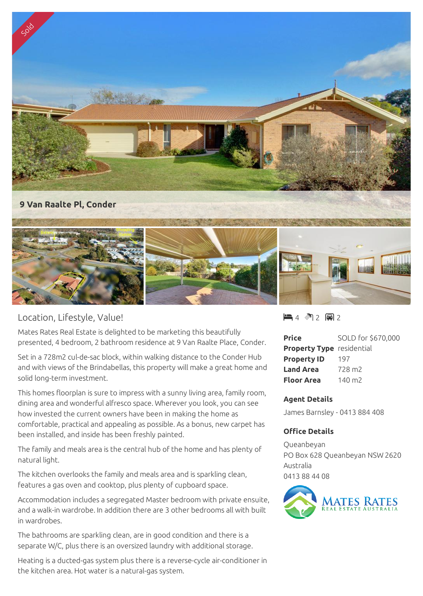

## Location, Lifestyle, Value!

Mates Rates Real Estate is delighted to be marketing this beautifully presented, 4 bedroom, 2 bathroom residence at 9 Van Raalte Place, Conder.

Set in a 728m2 cul-de-sac block, within walking distance to the Conder Hub and with views of the Brindabellas, this property will make a great home and solid long-term investment.

This homes floorplan is sure to impress with a sunny living area, family room, dining area and wonderful alfresco space. Wherever you look, you can see how invested the current owners have been in making the home as comfortable, practical and appealing as possible. As a bonus, new carpet has been installed, and inside has been freshly painted.

The family and meals area is the central hub of the home and has plenty of natural light.

The kitchen overlooks the family and meals area and is sparkling clean, features a gas oven and cooktop, plus plenty of cupboard space.

Accommodation includes a segregated Master bedroom with private ensuite, and a walk-in wardrobe. In addition there are 3 other bedrooms all with built in wardrobes.

The bathrooms are sparkling clean, are in good condition and there is a separate W/C, plus there is an oversized laundry with additional storage.

Heating is a ducted-gas system plus there is a reverse-cycle air-conditioner in the kitchen area. Hot water is a natural-gas system.

 $4$   $^{\circ}$  2 国 2

| <b>Price</b>                     | SOLD for \$670,000 |
|----------------------------------|--------------------|
| <b>Property Type</b> residential |                    |
| <b>Property ID</b>               | 197                |
| <b>Land Area</b>                 | 728 m <sub>2</sub> |
| Floor Area                       | 140 $m2$           |

## **Agent Details**

James Barnsley - 0413 884 408

## **Office Details**

Queanbeyan PO Box 628 Queanbeyan NSW 2620 Australia 0413 88 44 08